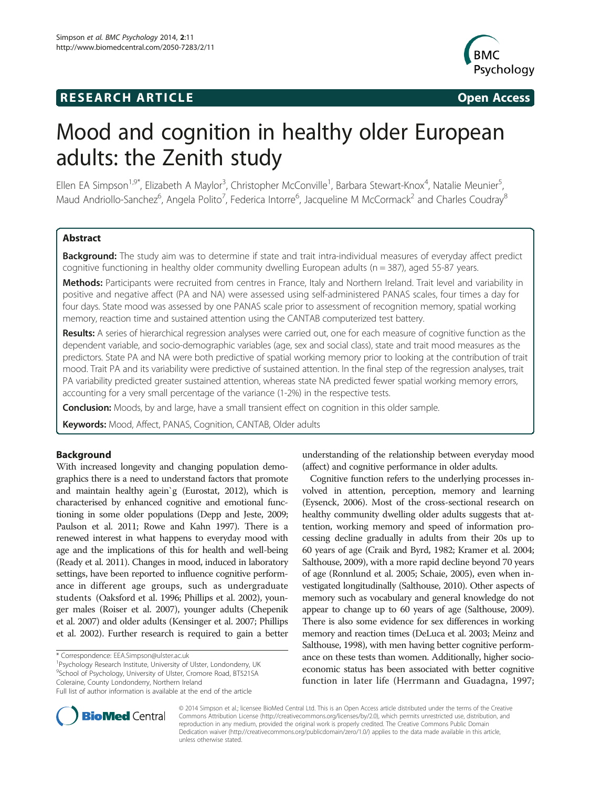# **RESEARCH ARTICLE Example 2014 CONSIDERING CONSIDERING CONSIDERING CONSIDERING CONSIDERING CONSIDERING CONSIDERING CONSIDERING CONSIDERING CONSIDERING CONSIDERING CONSIDERING CONSIDERING CONSIDERING CONSIDERING CONSIDE**



# Mood and cognition in healthy older European adults: the Zenith study

Ellen EA Simpson<sup>1,9\*</sup>, Elizabeth A Maylor<sup>3</sup>, Christopher McConville<sup>1</sup>, Barbara Stewart-Knox<sup>4</sup>, Natalie Meunier<sup>5</sup> , Maud Andriollo-Sanchez<sup>6</sup>, Angela Polito<sup>7</sup>, Federica Intorre<sup>6</sup>, Jacqueline M McCormack<sup>2</sup> and Charles Coudray<sup>8</sup>

### Abstract

Background: The study aim was to determine if state and trait intra-individual measures of everyday affect predict cognitive functioning in healthy older community dwelling European adults ( $n = 387$ ), aged 55-87 years.

Methods: Participants were recruited from centres in France, Italy and Northern Ireland. Trait level and variability in positive and negative affect (PA and NA) were assessed using self-administered PANAS scales, four times a day for four days. State mood was assessed by one PANAS scale prior to assessment of recognition memory, spatial working memory, reaction time and sustained attention using the CANTAB computerized test battery.

Results: A series of hierarchical regression analyses were carried out, one for each measure of cognitive function as the dependent variable, and socio-demographic variables (age, sex and social class), state and trait mood measures as the predictors. State PA and NA were both predictive of spatial working memory prior to looking at the contribution of trait mood. Trait PA and its variability were predictive of sustained attention. In the final step of the regression analyses, trait PA variability predicted greater sustained attention, whereas state NA predicted fewer spatial working memory errors, accounting for a very small percentage of the variance (1-2%) in the respective tests.

**Conclusion:** Moods, by and large, have a small transient effect on cognition in this older sample.

Keywords: Mood, Affect, PANAS, Cognition, CANTAB, Older adults

### Background

With increased longevity and changing population demographics there is a need to understand factors that promote and maintain healthy agein`g (Eurostat, [2012](#page-10-0)), which is characterised by enhanced cognitive and emotional functioning in some older populations (Depp and Jeste, [2009](#page-10-0); Paulson et al. [2011;](#page-11-0) Rowe and Kahn [1997](#page-12-0)). There is a renewed interest in what happens to everyday mood with age and the implications of this for health and well-being (Ready et al. [2011\)](#page-11-0). Changes in mood, induced in laboratory settings, have been reported to influence cognitive performance in different age groups, such as undergraduate students (Oaksford et al. [1996;](#page-11-0) Phillips et al. [2002](#page-11-0)), younger males (Roiser et al. [2007\)](#page-12-0), younger adults (Chepenik et al. [2007](#page-10-0)) and older adults (Kensinger et al. [2007;](#page-11-0) Phillips et al. [2002\)](#page-11-0). Further research is required to gain a better

<sup>1</sup>Psychology Research Institute, University of Ulster, Londonderry, UK 9 School of Psychology, University of Ulster, Cromore Road, BT521SA Coleraine, County Londonderry, Northern Ireland

understanding of the relationship between everyday mood (affect) and cognitive performance in older adults.

Cognitive function refers to the underlying processes involved in attention, perception, memory and learning (Eysenck, [2006](#page-10-0)). Most of the cross-sectional research on healthy community dwelling older adults suggests that attention, working memory and speed of information processing decline gradually in adults from their 20s up to 60 years of age (Craik and Byrd, [1982](#page-10-0); Kramer et al. [2004](#page-11-0); Salthouse, [2009\)](#page-12-0), with a more rapid decline beyond 70 years of age (Ronnlund et al. [2005;](#page-12-0) Schaie, [2005](#page-12-0)), even when investigated longitudinally (Salthouse, [2010\)](#page-12-0). Other aspects of memory such as vocabulary and general knowledge do not appear to change up to 60 years of age (Salthouse, [2009](#page-12-0)). There is also some evidence for sex differences in working memory and reaction times (DeLuca et al. [2003;](#page-10-0) Meinz and Salthouse, [1998](#page-11-0)), with men having better cognitive performance on these tests than women. Additionally, higher socioeconomic status has been associated with better cognitive function in later life (Herrmann and Guadagna, [1997](#page-11-0);



© 2014 Simpson et al.; licensee BioMed Central Ltd. This is an Open Access article distributed under the terms of the Creative Commons Attribution License [\(http://creativecommons.org/licenses/by/2.0\)](http://creativecommons.org/licenses/by/2.0), which permits unrestricted use, distribution, and reproduction in any medium, provided the original work is properly credited. The Creative Commons Public Domain Dedication waiver [\(http://creativecommons.org/publicdomain/zero/1.0/](http://creativecommons.org/publicdomain/zero/1.0/)) applies to the data made available in this article, unless otherwise stated.

<sup>\*</sup> Correspondence: [EEA.Simpson@ulster.ac.uk](mailto:EEA.Simpson@ulster.ac.uk) <sup>1</sup>

Full list of author information is available at the end of the article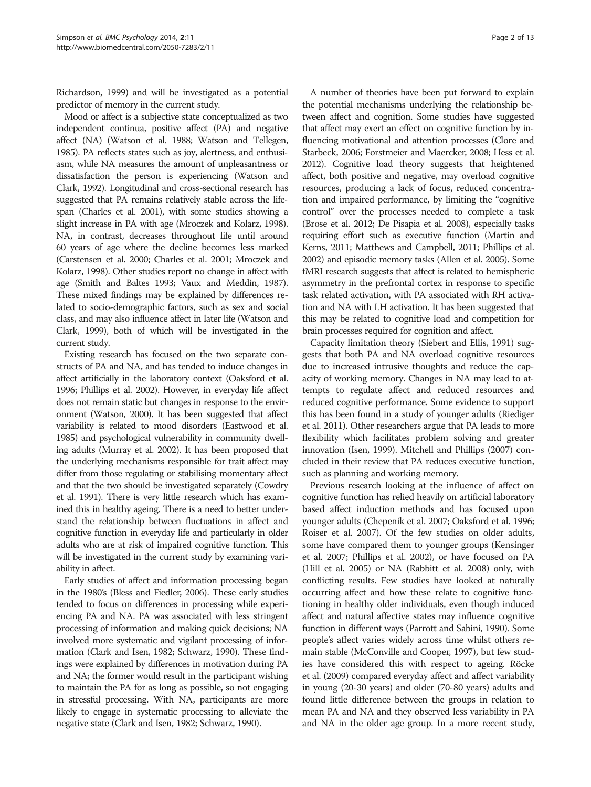Richardson, [1999](#page-11-0)) and will be investigated as a potential predictor of memory in the current study.

Mood or affect is a subjective state conceptualized as two independent continua, positive affect (PA) and negative affect (NA) (Watson et al. [1988](#page-12-0); Watson and Tellegen, [1985\)](#page-12-0). PA reflects states such as joy, alertness, and enthusiasm, while NA measures the amount of unpleasantness or dissatisfaction the person is experiencing (Watson and Clark, [1992](#page-12-0)). Longitudinal and cross-sectional research has suggested that PA remains relatively stable across the lifespan (Charles et al. [2001\)](#page-10-0), with some studies showing a slight increase in PA with age (Mroczek and Kolarz, [1998](#page-11-0)). NA, in contrast, decreases throughout life until around 60 years of age where the decline becomes less marked (Carstensen et al. [2000](#page-10-0); Charles et al. [2001](#page-10-0); Mroczek and Kolarz, [1998\)](#page-11-0). Other studies report no change in affect with age (Smith and Baltes [1993;](#page-12-0) Vaux and Meddin, [1987](#page-12-0)). These mixed findings may be explained by differences related to socio-demographic factors, such as sex and social class, and may also influence affect in later life (Watson and Clark, [1999](#page-12-0)), both of which will be investigated in the current study.

Existing research has focused on the two separate constructs of PA and NA, and has tended to induce changes in affect artificially in the laboratory context (Oaksford et al. [1996;](#page-11-0) Phillips et al. [2002\)](#page-11-0). However, in everyday life affect does not remain static but changes in response to the environment (Watson, [2000\)](#page-12-0). It has been suggested that affect variability is related to mood disorders (Eastwood et al. [1985\)](#page-10-0) and psychological vulnerability in community dwelling adults (Murray et al. [2002\)](#page-11-0). It has been proposed that the underlying mechanisms responsible for trait affect may differ from those regulating or stabilising momentary affect and that the two should be investigated separately (Cowdry et al. [1991\)](#page-10-0). There is very little research which has examined this in healthy ageing. There is a need to better understand the relationship between fluctuations in affect and cognitive function in everyday life and particularly in older adults who are at risk of impaired cognitive function. This will be investigated in the current study by examining variability in affect.

Early studies of affect and information processing began in the 1980's (Bless and Fiedler, [2006\)](#page-10-0). These early studies tended to focus on differences in processing while experiencing PA and NA. PA was associated with less stringent processing of information and making quick decisions; NA involved more systematic and vigilant processing of information (Clark and Isen, [1982;](#page-10-0) Schwarz, [1990](#page-12-0)). These findings were explained by differences in motivation during PA and NA; the former would result in the participant wishing to maintain the PA for as long as possible, so not engaging in stressful processing. With NA, participants are more likely to engage in systematic processing to alleviate the negative state (Clark and Isen, [1982;](#page-10-0) Schwarz, [1990](#page-12-0)).

A number of theories have been put forward to explain the potential mechanisms underlying the relationship between affect and cognition. Some studies have suggested that affect may exert an effect on cognitive function by influencing motivational and attention processes (Clore and Starbeck, [2006](#page-10-0); Forstmeier and Maercker, [2008](#page-10-0); Hess et al. [2012\)](#page-11-0). Cognitive load theory suggests that heightened affect, both positive and negative, may overload cognitive resources, producing a lack of focus, reduced concentration and impaired performance, by limiting the "cognitive control" over the processes needed to complete a task (Brose et al. [2012;](#page-10-0) De Pisapia et al. [2008](#page-10-0)), especially tasks requiring effort such as executive function (Martin and Kerns, [2011;](#page-11-0) Matthews and Campbell, [2011](#page-11-0); Phillips et al. [2002\)](#page-11-0) and episodic memory tasks (Allen et al. [2005](#page-10-0)). Some fMRI research suggests that affect is related to hemispheric asymmetry in the prefrontal cortex in response to specific task related activation, with PA associated with RH activation and NA with LH activation. It has been suggested that this may be related to cognitive load and competition for brain processes required for cognition and affect.

Capacity limitation theory (Siebert and Ellis, [1991](#page-12-0)) suggests that both PA and NA overload cognitive resources due to increased intrusive thoughts and reduce the capacity of working memory. Changes in NA may lead to attempts to regulate affect and reduced resources and reduced cognitive performance. Some evidence to support this has been found in a study of younger adults (Riediger et al. [2011](#page-11-0)). Other researchers argue that PA leads to more flexibility which facilitates problem solving and greater innovation (Isen, [1999](#page-11-0)). Mitchell and Phillips ([2007\)](#page-11-0) concluded in their review that PA reduces executive function, such as planning and working memory.

Previous research looking at the influence of affect on cognitive function has relied heavily on artificial laboratory based affect induction methods and has focused upon younger adults (Chepenik et al. [2007](#page-10-0); Oaksford et al. [1996](#page-11-0); Roiser et al. [2007](#page-12-0)). Of the few studies on older adults, some have compared them to younger groups (Kensinger et al. [2007;](#page-11-0) Phillips et al. [2002\)](#page-11-0), or have focused on PA (Hill et al. [2005\)](#page-11-0) or NA (Rabbitt et al. [2008](#page-11-0)) only, with conflicting results. Few studies have looked at naturally occurring affect and how these relate to cognitive functioning in healthy older individuals, even though induced affect and natural affective states may influence cognitive function in different ways (Parrott and Sabini, [1990](#page-11-0)). Some people's affect varies widely across time whilst others remain stable (McConville and Cooper, [1997\)](#page-11-0), but few studies have considered this with respect to ageing. Röcke et al. [\(2009](#page-11-0)) compared everyday affect and affect variability in young (20-30 years) and older (70-80 years) adults and found little difference between the groups in relation to mean PA and NA and they observed less variability in PA and NA in the older age group. In a more recent study,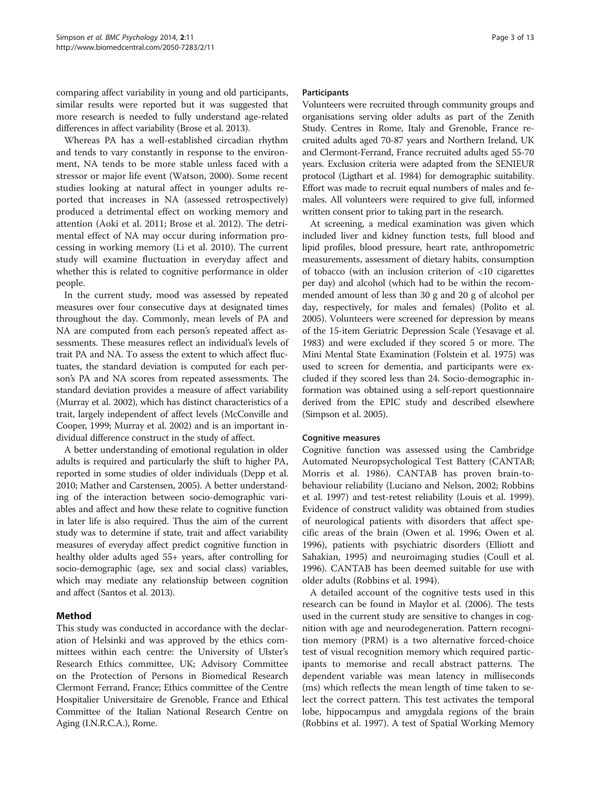comparing affect variability in young and old participants, similar results were reported but it was suggested that more research is needed to fully understand age-related differences in affect variability (Brose et al. [2013](#page-10-0)).

Whereas PA has a well-established circadian rhythm and tends to vary constantly in response to the environment, NA tends to be more stable unless faced with a stressor or major life event (Watson, [2000\)](#page-12-0). Some recent studies looking at natural affect in younger adults reported that increases in NA (assessed retrospectively) produced a detrimental effect on working memory and attention (Aoki et al. [2011;](#page-10-0) Brose et al. [2012\)](#page-10-0). The detrimental effect of NA may occur during information processing in working memory (Li et al. [2010](#page-11-0)). The current study will examine fluctuation in everyday affect and whether this is related to cognitive performance in older people.

In the current study, mood was assessed by repeated measures over four consecutive days at designated times throughout the day. Commonly, mean levels of PA and NA are computed from each person's repeated affect assessments. These measures reflect an individual's levels of trait PA and NA. To assess the extent to which affect fluctuates, the standard deviation is computed for each person's PA and NA scores from repeated assessments. The standard deviation provides a measure of affect variability (Murray et al. [2002](#page-11-0)), which has distinct characteristics of a trait, largely independent of affect levels (McConville and Cooper, [1999;](#page-11-0) Murray et al. [2002](#page-11-0)) and is an important individual difference construct in the study of affect.

A better understanding of emotional regulation in older adults is required and particularly the shift to higher PA, reported in some studies of older individuals (Depp et al. [2010;](#page-10-0) Mather and Carstensen, [2005](#page-11-0)). A better understanding of the interaction between socio-demographic variables and affect and how these relate to cognitive function in later life is also required. Thus the aim of the current study was to determine if state, trait and affect variability measures of everyday affect predict cognitive function in healthy older adults aged 55+ years, after controlling for socio-demographic (age, sex and social class) variables, which may mediate any relationship between cognition and affect (Santos et al. [2013\)](#page-12-0).

### Method

This study was conducted in accordance with the declaration of Helsinki and was approved by the ethics committees within each centre: the University of Ulster's Research Ethics committee, UK; Advisory Committee on the Protection of Persons in Biomedical Research Clermont Ferrand, France; Ethics committee of the Centre Hospitalier Universitaire de Grenoble, France and Ethical Committee of the Italian National Research Centre on Aging (I.N.R.C.A.), Rome.

### **Participants**

Volunteers were recruited through community groups and organisations serving older adults as part of the Zenith Study. Centres in Rome, Italy and Grenoble, France recruited adults aged 70-87 years and Northern Ireland, UK and Clermont-Ferrand, France recruited adults aged 55-70 years. Exclusion criteria were adapted from the SENIEUR protocol (Ligthart et al. [1984\)](#page-11-0) for demographic suitability. Effort was made to recruit equal numbers of males and females. All volunteers were required to give full, informed written consent prior to taking part in the research.

At screening, a medical examination was given which included liver and kidney function tests, full blood and lipid profiles, blood pressure, heart rate, anthropometric measurements, assessment of dietary habits, consumption of tobacco (with an inclusion criterion of <10 cigarettes per day) and alcohol (which had to be within the recommended amount of less than 30 g and 20 g of alcohol per day, respectively, for males and females) (Polito et al. [2005](#page-11-0)). Volunteers were screened for depression by means of the 15-item Geriatric Depression Scale (Yesavage et al. [1983](#page-12-0)) and were excluded if they scored 5 or more. The Mini Mental State Examination (Folstein et al. [1975](#page-10-0)) was used to screen for dementia, and participants were excluded if they scored less than 24. Socio-demographic information was obtained using a self-report questionnaire derived from the EPIC study and described elsewhere (Simpson et al. [2005\)](#page-12-0).

### Cognitive measures

Cognitive function was assessed using the Cambridge Automated Neuropsychological Test Battery (CANTAB; Morris et al. [1986](#page-11-0)). CANTAB has proven brain-tobehaviour reliability (Luciano and Nelson, [2002](#page-11-0); Robbins et al. [1997\)](#page-11-0) and test-retest reliability (Louis et al. [1999](#page-11-0)). Evidence of construct validity was obtained from studies of neurological patients with disorders that affect specific areas of the brain (Owen et al. [1996;](#page-11-0) Owen et al. [1996](#page-11-0)), patients with psychiatric disorders (Elliott and Sahakian, [1995](#page-10-0)) and neuroimaging studies (Coull et al. [1996](#page-10-0)). CANTAB has been deemed suitable for use with older adults (Robbins et al. [1994\)](#page-11-0).

A detailed account of the cognitive tests used in this research can be found in Maylor et al. ([2006\)](#page-11-0). The tests used in the current study are sensitive to changes in cognition with age and neurodegeneration. Pattern recognition memory (PRM) is a two alternative forced-choice test of visual recognition memory which required participants to memorise and recall abstract patterns. The dependent variable was mean latency in milliseconds (ms) which reflects the mean length of time taken to select the correct pattern. This test activates the temporal lobe, hippocampus and amygdala regions of the brain (Robbins et al. [1997\)](#page-11-0). A test of Spatial Working Memory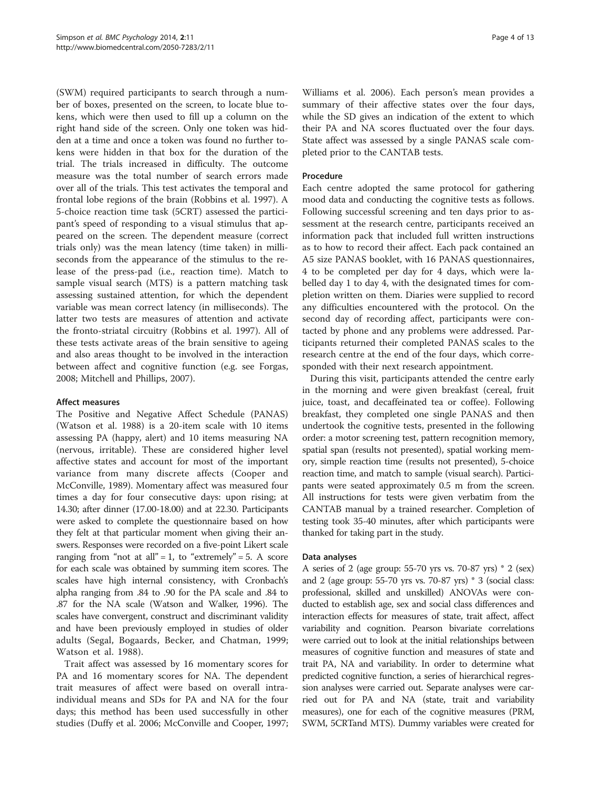(SWM) required participants to search through a number of boxes, presented on the screen, to locate blue tokens, which were then used to fill up a column on the right hand side of the screen. Only one token was hidden at a time and once a token was found no further tokens were hidden in that box for the duration of the trial. The trials increased in difficulty. The outcome measure was the total number of search errors made over all of the trials. This test activates the temporal and frontal lobe regions of the brain (Robbins et al. [1997\)](#page-11-0). A 5-choice reaction time task (5CRT) assessed the participant's speed of responding to a visual stimulus that appeared on the screen. The dependent measure (correct trials only) was the mean latency (time taken) in milliseconds from the appearance of the stimulus to the release of the press-pad (i.e., reaction time). Match to sample visual search (MTS) is a pattern matching task assessing sustained attention, for which the dependent variable was mean correct latency (in milliseconds). The latter two tests are measures of attention and activate the fronto-striatal circuitry (Robbins et al. [1997](#page-11-0)). All of these tests activate areas of the brain sensitive to ageing and also areas thought to be involved in the interaction between affect and cognitive function (e.g. see Forgas, [2008](#page-10-0); Mitchell and Phillips, [2007](#page-11-0)).

### Affect measures

The Positive and Negative Affect Schedule (PANAS) (Watson et al. [1988](#page-12-0)) is a 20-item scale with 10 items assessing PA (happy, alert) and 10 items measuring NA (nervous, irritable). These are considered higher level affective states and account for most of the important variance from many discrete affects (Cooper and McConville, [1989\)](#page-10-0). Momentary affect was measured four times a day for four consecutive days: upon rising; at 14.30; after dinner (17.00-18.00) and at 22.30. Participants were asked to complete the questionnaire based on how they felt at that particular moment when giving their answers. Responses were recorded on a five-point Likert scale ranging from "not at all" = 1, to "extremely" = 5. A score for each scale was obtained by summing item scores. The scales have high internal consistency, with Cronbach's alpha ranging from .84 to .90 for the PA scale and .84 to .87 for the NA scale (Watson and Walker, [1996](#page-12-0)). The scales have convergent, construct and discriminant validity and have been previously employed in studies of older adults (Segal, Bogaards, Becker, and Chatman, [1999](#page-12-0); Watson et al. [1988\)](#page-12-0).

Trait affect was assessed by 16 momentary scores for PA and 16 momentary scores for NA. The dependent trait measures of affect were based on overall intraindividual means and SDs for PA and NA for the four days; this method has been used successfully in other studies (Duffy et al. [2006;](#page-10-0) McConville and Cooper, [1997](#page-11-0);

Williams et al. [2006](#page-12-0)). Each person's mean provides a summary of their affective states over the four days, while the SD gives an indication of the extent to which their PA and NA scores fluctuated over the four days. State affect was assessed by a single PANAS scale completed prior to the CANTAB tests.

### Procedure

Each centre adopted the same protocol for gathering mood data and conducting the cognitive tests as follows. Following successful screening and ten days prior to assessment at the research centre, participants received an information pack that included full written instructions as to how to record their affect. Each pack contained an A5 size PANAS booklet, with 16 PANAS questionnaires, 4 to be completed per day for 4 days, which were labelled day 1 to day 4, with the designated times for completion written on them. Diaries were supplied to record any difficulties encountered with the protocol. On the second day of recording affect, participants were contacted by phone and any problems were addressed. Participants returned their completed PANAS scales to the research centre at the end of the four days, which corresponded with their next research appointment.

During this visit, participants attended the centre early in the morning and were given breakfast (cereal, fruit juice, toast, and decaffeinated tea or coffee). Following breakfast, they completed one single PANAS and then undertook the cognitive tests, presented in the following order: a motor screening test, pattern recognition memory, spatial span (results not presented), spatial working memory, simple reaction time (results not presented), 5-choice reaction time, and match to sample (visual search). Participants were seated approximately 0.5 m from the screen. All instructions for tests were given verbatim from the CANTAB manual by a trained researcher. Completion of testing took 35-40 minutes, after which participants were thanked for taking part in the study.

### Data analyses

A series of 2 (age group: 55-70 yrs vs. 70-87 yrs) \* 2 (sex) and 2 (age group: 55-70 yrs vs. 70-87 yrs) \* 3 (social class: professional, skilled and unskilled) ANOVAs were conducted to establish age, sex and social class differences and interaction effects for measures of state, trait affect, affect variability and cognition. Pearson bivariate correlations were carried out to look at the initial relationships between measures of cognitive function and measures of state and trait PA, NA and variability. In order to determine what predicted cognitive function, a series of hierarchical regression analyses were carried out. Separate analyses were carried out for PA and NA (state, trait and variability measures), one for each of the cognitive measures (PRM, SWM, 5CRTand MTS). Dummy variables were created for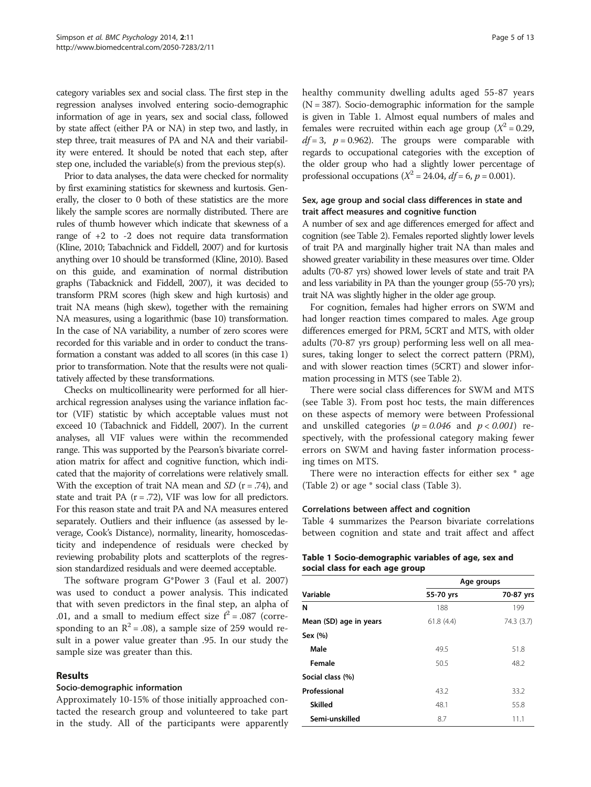category variables sex and social class. The first step in the regression analyses involved entering socio-demographic information of age in years, sex and social class, followed by state affect (either PA or NA) in step two, and lastly, in step three, trait measures of PA and NA and their variability were entered. It should be noted that each step, after step one, included the variable(s) from the previous step(s).

Prior to data analyses, the data were checked for normality by first examining statistics for skewness and kurtosis. Generally, the closer to 0 both of these statistics are the more likely the sample scores are normally distributed. There are rules of thumb however which indicate that skewness of a range of +2 to -2 does not require data transformation (Kline, [2010](#page-11-0); Tabachnick and Fiddell, [2007\)](#page-12-0) and for kurtosis anything over 10 should be transformed (Kline, [2010](#page-11-0)). Based on this guide, and examination of normal distribution graphs (Tabacknick and Fiddell, [2007](#page-12-0)), it was decided to transform PRM scores (high skew and high kurtosis) and trait NA means (high skew), together with the remaining NA measures, using a logarithmic (base 10) transformation. In the case of NA variability, a number of zero scores were recorded for this variable and in order to conduct the transformation a constant was added to all scores (in this case 1) prior to transformation. Note that the results were not qualitatively affected by these transformations.

Checks on multicollinearity were performed for all hierarchical regression analyses using the variance inflation factor (VIF) statistic by which acceptable values must not exceed 10 (Tabachnick and Fiddell, [2007](#page-12-0)). In the current analyses, all VIF values were within the recommended range. This was supported by the Pearson's bivariate correlation matrix for affect and cognitive function, which indicated that the majority of correlations were relatively small. With the exception of trait NA mean and  $SD$  ( $r = .74$ ), and state and trait PA  $(r = .72)$ , VIF was low for all predictors. For this reason state and trait PA and NA measures entered separately. Outliers and their influence (as assessed by leverage, Cook's Distance), normality, linearity, homoscedasticity and independence of residuals were checked by reviewing probability plots and scatterplots of the regression standardized residuals and were deemed acceptable.

The software program G\*Power 3 (Faul et al. [2007](#page-10-0)) was used to conduct a power analysis. This indicated that with seven predictors in the final step, an alpha of .01, and a small to medium effect size  $f^2 = .087$  (corresponding to an  $\mathbb{R}^2 = .08$ ), a sample size of 259 would result in a power value greater than .95. In our study the sample size was greater than this.

### Results

### Socio-demographic information

Approximately 10-15% of those initially approached contacted the research group and volunteered to take part in the study. All of the participants were apparently healthy community dwelling adults aged 55-87 years  $(N = 387)$ . Socio-demographic information for the sample is given in Table 1. Almost equal numbers of males and females were recruited within each age group ( $X^2 = 0.29$ ,  $df = 3$ ,  $p = 0.962$ ). The groups were comparable with regards to occupational categories with the exception of the older group who had a slightly lower percentage of professional occupations ( $X^2 = 24.04$ ,  $df = 6$ ,  $p = 0.001$ ).

### Sex, age group and social class differences in state and trait affect measures and cognitive function

A number of sex and age differences emerged for affect and cognition (see Table [2](#page-5-0)). Females reported slightly lower levels of trait PA and marginally higher trait NA than males and showed greater variability in these measures over time. Older adults (70-87 yrs) showed lower levels of state and trait PA and less variability in PA than the younger group (55-70 yrs); trait NA was slightly higher in the older age group.

For cognition, females had higher errors on SWM and had longer reaction times compared to males. Age group differences emerged for PRM, 5CRT and MTS, with older adults (70-87 yrs group) performing less well on all measures, taking longer to select the correct pattern (PRM), and with slower reaction times (5CRT) and slower information processing in MTS (see Table [2](#page-5-0)).

There were social class differences for SWM and MTS (see Table [3\)](#page-5-0). From post hoc tests, the main differences on these aspects of memory were between Professional and unskilled categories ( $p = 0.046$  and  $p < 0.001$ ) respectively, with the professional category making fewer errors on SWM and having faster information processing times on MTS.

There were no interaction effects for either sex \* age (Table [2\)](#page-5-0) or age \* social class (Table [3\)](#page-5-0).

### Correlations between affect and cognition

Table [4](#page-6-0) summarizes the Pearson bivariate correlations between cognition and state and trait affect and affect

| Table 1 Socio-demographic variables of age, sex and |  |
|-----------------------------------------------------|--|
| social class for each age group                     |  |

|                        |           | Age groups |
|------------------------|-----------|------------|
| Variable               | 55-70 yrs | 70-87 yrs  |
| N                      | 188       | 199        |
| Mean (SD) age in years | 61.8(4.4) | 74.3 (3.7) |
| Sex (%)                |           |            |
| Male                   | 49.5      | 51.8       |
| Female                 | 50.5      | 48.2       |
| Social class (%)       |           |            |
| Professional           | 43.2      | 33.2       |
| <b>Skilled</b>         | 48.1      | 55.8       |
| Semi-unskilled         | 8.7       | 11.1       |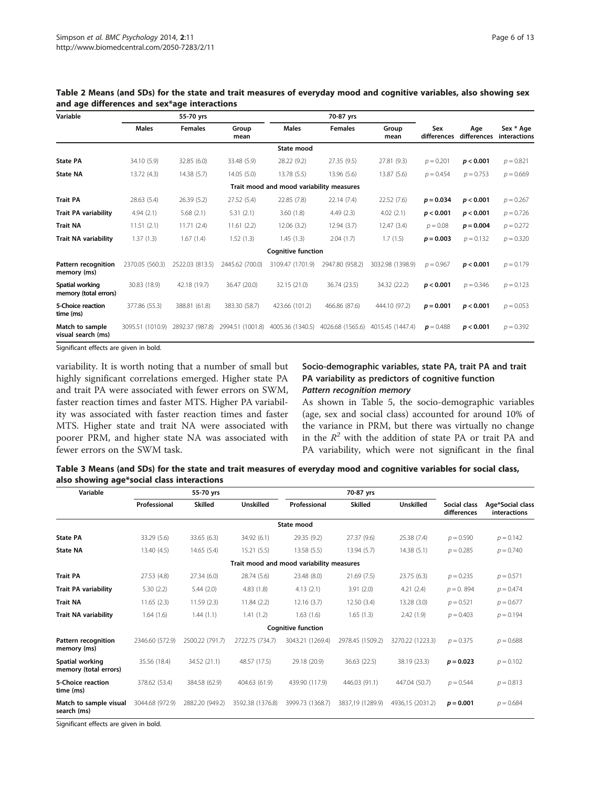| Variable                                  | 55-70 yrs        |                 |                  |                                          | 70-87 yrs        |                  |                      |                    |                           |
|-------------------------------------------|------------------|-----------------|------------------|------------------------------------------|------------------|------------------|----------------------|--------------------|---------------------------|
|                                           | <b>Males</b>     | <b>Females</b>  | Group<br>mean    | <b>Males</b>                             | <b>Females</b>   | Group<br>mean    | Sex<br>differences   | Age<br>differences | Sex * Age<br>interactions |
|                                           |                  |                 |                  | State mood                               |                  |                  |                      |                    |                           |
| <b>State PA</b>                           | 34.10 (5.9)      | 32.85 (6.0)     | 33.48 (5.9)      | 28.22 (9.2)                              | 27.35(9.5)       | 27.81 (9.3)      | $p = 0.201$          | p < 0.001          | $p = 0.821$               |
| <b>State NA</b>                           | 13.72 (4.3)      | 14.38(5.7)      | 14.05(5.0)       | 13.78 (5.5)                              | 13.96 (5.6)      | 13.87 (5.6)      | $p = 0.454$          | $p = 0.753$        | $p = 0.669$               |
|                                           |                  |                 |                  | Trait mood and mood variability measures |                  |                  |                      |                    |                           |
| <b>Trait PA</b>                           | 28.63 (5.4)      | 26.39(5.2)      | 27.52 (5.4)      | 22.85 (7.8)                              | 22.14(7.4)       | 22.52 (7.6)      | $p = 0.034$          | p < 0.001          | $p = 0.267$               |
| <b>Trait PA variability</b>               | 4.94(2.1)        | 5.68(2.1)       | 5.31(2.1)        | 3.60(1.8)                                | 4.49(2.3)        | 4.02(2.1)        | p < 0.001            | p < 0.001          | $p = 0.726$               |
| <b>Trait NA</b>                           | 11.51(2.1)       | 11.71(2.4)      | 11.61(2.2)       | 12.06 (3.2)                              | 12.94(3.7)       | 12.47 (3.4)      | $p = 0.08$           | $p = 0.004$        | $p = 0.272$               |
| Trait NA variability                      | 1.37(1.3)        | 1.67(1.4)       | 1.52(1.3)        | 1.45(1.3)                                | 2.04(1.7)        | 1.7(1.5)         | $p = 0.003$          | $p = 0.132$        | $p = 0.320$               |
|                                           |                  |                 |                  | <b>Cognitive function</b>                |                  |                  |                      |                    |                           |
| <b>Pattern recognition</b><br>memory (ms) | 2370.05 (560.3)  | 2522.03 (813.5) | 2445.62 (700.0)  | 3109.47 (1701.9)                         | 2947.80 (958.2)  | 3032.98 (1398.9) | $p = 0.967$          | p < 0.001          | $p = 0.179$               |
| Spatial working<br>memory (total errors)  | 30.83 (18.9)     | 42.18 (19.7)    | 36.47 (20.0)     | 32.15 (21.0)                             | 36.74 (23.5)     | 34.32 (22.2)     | p < 0.001            | $p = 0.346$        | $p = 0.123$               |
| 5-Choice reaction<br>time (ms)            | 377.86 (55.3)    | 388.81 (61.8)   | 383.30 (58.7)    | 423.66 (101.2)                           | 466.86 (87.6)    | 444.10 (97.2)    | $p = 0.001$          | p < 0.001          | $p = 0.053$               |
| Match to sample<br>visual search (ms)     | 3095.51 (1010.9) | 2892.37 (987.8) | 2994.51 (1001.8) | 4005.36 (1340.5)                         | 4026.68 (1565.6) | 4015.45 (1447.4) | $\mathbf{p} = 0.488$ | p < 0.001          | $p = 0.392$               |
| -- - <b>-</b>                             | .                |                 |                  |                                          |                  |                  |                      |                    |                           |

<span id="page-5-0"></span>Table 2 Means (and SDs) for the state and trait measures of everyday mood and cognitive variables, also showing sex and age differences and sex\*age interactions

Significant effects are given in bold.

variability. It is worth noting that a number of small but highly significant correlations emerged. Higher state PA and trait PA were associated with fewer errors on SWM, faster reaction times and faster MTS. Higher PA variability was associated with faster reaction times and faster MTS. Higher state and trait NA were associated with poorer PRM, and higher state NA was associated with fewer errors on the SWM task.

# Socio-demographic variables, state PA, trait PA and trait PA variability as predictors of cognitive function

As shown in Table [5,](#page-6-0) the socio-demographic variables (age, sex and social class) accounted for around 10% of the variance in PRM, but there was virtually no change in the  $R^2$  with the addition of state PA or trait PA and PA variability, which were not significant in the final

| Table 3 Means (and SDs) for the state and trait measures of everyday mood and cognitive variables for social class, |  |  |  |
|---------------------------------------------------------------------------------------------------------------------|--|--|--|
| also showing age*social class interactions                                                                          |  |  |  |

| Variable                                  | 55-70 yrs       |                 |                  |                                          | 70-87 yrs        |                  |                             |                                  |  |
|-------------------------------------------|-----------------|-----------------|------------------|------------------------------------------|------------------|------------------|-----------------------------|----------------------------------|--|
|                                           | Professional    | <b>Skilled</b>  | <b>Unskilled</b> | Professional                             | <b>Skilled</b>   | <b>Unskilled</b> | Social class<br>differences | Age*Social class<br>interactions |  |
|                                           |                 |                 |                  | State mood                               |                  |                  |                             |                                  |  |
| <b>State PA</b>                           | 33.29 (5.6)     | 33.65 (6.3)     | 34.92 (6.1)      | 29.35 (9.2)                              | 27.37 (9.6)      | 25.38 (7.4)      | $p = 0.590$                 | $p = 0.142$                      |  |
| <b>State NA</b>                           | 13.40(4.5)      | 14.65 (5.4)     | 15.21(5.5)       | 13.58 (5.5)                              | 13.94 (5.7)      | 14.38(5.1)       | $p = 0.285$                 | $p = 0.740$                      |  |
|                                           |                 |                 |                  | Trait mood and mood variability measures |                  |                  |                             |                                  |  |
| <b>Trait PA</b>                           | 27.53 (4.8)     | 27.34 (6.0)     | 28.74 (5.6)      | 23.48 (8.0)                              | 21.69(7.5)       | 23.75(6.3)       | $p = 0.235$                 | $p = 0.571$                      |  |
| <b>Trait PA variability</b>               | 5.30(2.2)       | 5.44(2.0)       | 4.83(1.8)        | 4.13(2.1)                                | 3.91(2.0)        | 4.21(2.4)        | $p = 0.894$                 | $p = 0.474$                      |  |
| <b>Trait NA</b>                           | 11.65(2.3)      | 11.59(2.3)      | 11.84 (2.2)      | 12.16(3.7)                               | 12.50 (3.4)      | 13.28 (3.0)      | $p = 0.521$                 | $p = 0.677$                      |  |
| <b>Trait NA variability</b>               | 1.64(1.6)       | 1.44(1.1)       | 1.41(1.2)        | 1.63(1.6)                                | 1.65(1.3)        | 2.42(1.9)        | $p = 0.403$                 | $p = 0.194$                      |  |
|                                           |                 |                 |                  | <b>Cognitive function</b>                |                  |                  |                             |                                  |  |
| <b>Pattern recognition</b><br>memory (ms) | 2346.60 (572.9) | 2500.22 (791.7) | 2722.75 (734.7)  | 3043.21 (1269.4)                         | 2978.45 (1509.2) | 3270.22 (1223.3) | $p = 0.375$                 | $p = 0.688$                      |  |
| Spatial working<br>memory (total errors)  | 35.56 (18.4)    | 34.52 (21.1)    | 48.57 (17.5)     | 29.18 (20.9)                             | 36.63 (22.5)     | 38.19 (23.3)     | $p = 0.023$                 | $p = 0.102$                      |  |
| 5-Choice reaction<br>time (ms)            | 378.62 (53.4)   | 384.58 (62.9)   | 404.63 (61.9)    | 439.90 (117.9)                           | 446.03 (91.1)    | 447.04 (50.7)    | $p = 0.544$                 | $p = 0.813$                      |  |
| Match to sample visual<br>search (ms)     | 3044.68 (972.9) | 2882.20 (949.2) | 3592.38 (1376.8) | 3999.73 (1368.7)                         | 3837.19 (1289.9) | 4936,15 (2031.2) | $p = 0.001$                 | $p = 0.684$                      |  |
| $\sim$ $\sim$ $\sim$ $\sim$ $\sim$ $\sim$ | .               |                 |                  |                                          |                  |                  |                             |                                  |  |

Significant effects are given in bold.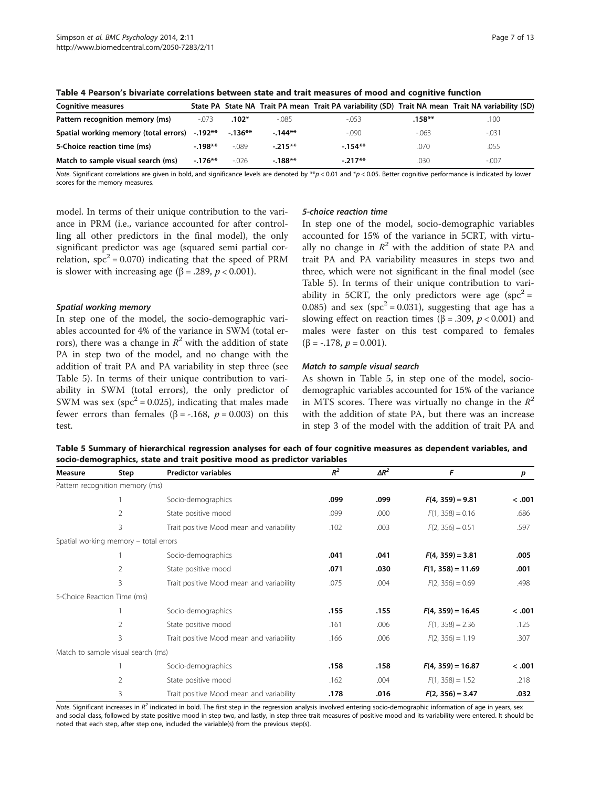| <b>Cognitive measures</b>                     |          |          |          | State PA State NA Trait PA mean Trait PA variability (SD) Trait NA mean Trait NA variability (SD) |          |          |
|-----------------------------------------------|----------|----------|----------|---------------------------------------------------------------------------------------------------|----------|----------|
| Pattern recognition memory (ms)               | $-073$   | $.102*$  | $-0.085$ | $-0.53$                                                                                           | $.158**$ | .100     |
| Spatial working memory (total errors) -.192** |          | $-136**$ | $-144**$ | $-0.090$                                                                                          | $-063$   | $-0.031$ |
| 5-Choice reaction time (ms)                   | $-198**$ | $-089$   | $-215**$ | $-154**$                                                                                          | .070     | .055     |
| Match to sample visual search (ms)            | $-176**$ | $-0.026$ | $-188**$ | $-217**$                                                                                          | .030     | $-.007$  |

<span id="page-6-0"></span>Table 4 Pearson's bivariate correlations between state and trait measures of mood and cognitive function

Note. Significant correlations are given in bold, and significance levels are denoted by  $*_p$  < 0.01 and  $*_p$  < 0.05. Better cognitive performance is indicated by lower scores for the memory measures.

model. In terms of their unique contribution to the variance in PRM (i.e., variance accounted for after controlling all other predictors in the final model), the only significant predictor was age (squared semi partial correlation,  $spc^2 = 0.070$  indicating that the speed of PRM is slower with increasing age ( $\beta$  = .289, *p* < 0.001).

In step one of the model, the socio-demographic variables accounted for 4% of the variance in SWM (total errors), there was a change in  $R^2$  with the addition of state PA in step two of the model, and no change with the addition of trait PA and PA variability in step three (see Table 5). In terms of their unique contribution to variability in SWM (total errors), the only predictor of SWM was sex ( $spc^2 = 0.025$ ), indicating that males made fewer errors than females (β = -.168,  $p = 0.003$ ) on this test.

In step one of the model, socio-demographic variables accounted for 15% of the variance in 5CRT, with virtually no change in  $\mathbb{R}^2$  with the addition of state PA and trait PA and PA variability measures in steps two and three, which were not significant in the final model (see Table 5). In terms of their unique contribution to variability in 5CRT, the only predictors were age  $(spc<sup>2</sup> =$ 0.085) and sex ( $spc^2 = 0.031$ ), suggesting that age has a slowing effect on reaction times ( $\beta$  = .309,  $p$  < 0.001) and males were faster on this test compared to females ( $\beta$  = -.178,  $p = 0.001$ ).

As shown in Table 5, in step one of the model, sociodemographic variables accounted for 15% of the variance in MTS scores. There was virtually no change in the  $R^2$ with the addition of state PA, but there was an increase in step 3 of the model with the addition of trait PA and

Table 5 Summary of hierarchical regression analyses for each of four cognitive measures as dependent variables, and socio-demographics, state and trait positive mood as predictor variables

| Measure | Step                                  | <b>Predictor variables</b>               | $R^2$ | $\Delta R^2$ | F                   | p      |
|---------|---------------------------------------|------------------------------------------|-------|--------------|---------------------|--------|
|         | Pattern recognition memory (ms)       |                                          |       |              |                     |        |
|         |                                       | Socio-demographics                       | .099  | .099         | $F(4, 359) = 9.81$  | < .001 |
|         | 2                                     | State positive mood                      | .099  | .000         | $F(1, 358) = 0.16$  | .686   |
|         | 3                                     | Trait positive Mood mean and variability | .102  | .003         | $F(2, 356) = 0.51$  | .597   |
|         | Spatial working memory - total errors |                                          |       |              |                     |        |
|         |                                       | Socio-demographics                       | .041  | .041         | $F(4, 359) = 3.81$  | .005   |
|         | $\overline{2}$                        | State positive mood                      | .071  | .030         | $F(1, 358) = 11.69$ | .001   |
|         | 3                                     | Trait positive Mood mean and variability | .075  | .004         | $F(2, 356) = 0.69$  | .498   |
|         | 5-Choice Reaction Time (ms)           |                                          |       |              |                     |        |
|         |                                       | Socio-demographics                       | .155  | .155         | $F(4, 359) = 16.45$ | < .001 |
|         | 2                                     | State positive mood                      | .161  | .006         | $F(1, 358) = 2.36$  | .125   |
|         | 3                                     | Trait positive Mood mean and variability | .166  | .006         | $F(2, 356) = 1.19$  | .307   |
|         | Match to sample visual search (ms)    |                                          |       |              |                     |        |
|         |                                       | Socio-demographics                       | .158  | .158         | $F(4, 359) = 16.87$ | < .001 |
|         | 2                                     | State positive mood                      | .162  | .004         | $F(1, 358) = 1.52$  | .218   |
|         | 3                                     | Trait positive Mood mean and variability | .178  | .016         | $F(2, 356) = 3.47$  | .032   |

Note. Significant increases in  $R^2$  indicated in bold. The first step in the regression analysis involved entering socio-demographic information of age in years, sex<br>and social class followed by state positive mood in st and social class, followed by state positive mood in step two, and lastly, in step three trait measures of positive mood and its variability were entered. It should be noted that each step, after step one, included the variable(s) from the previous step(s).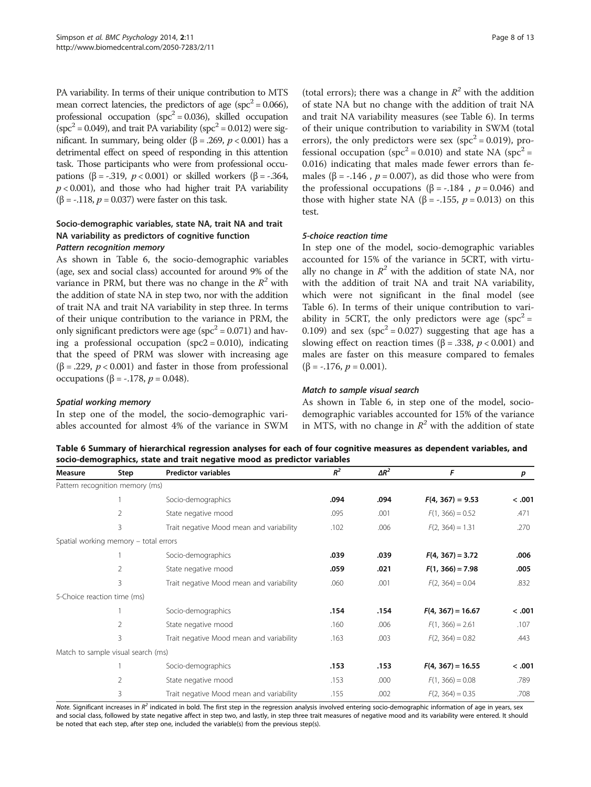PA variability. In terms of their unique contribution to MTS mean correct latencies, the predictors of age (spc<sup>2</sup> = 0.066), professional occupation (spc<sup>2</sup> = 0.036), skilled occupation  $(spc<sup>2</sup> = 0.049)$ , and trait PA variability  $(spc<sup>2</sup> = 0.012)$  were significant. In summary, being older (β = .269,  $p < 0.001$ ) has a detrimental effect on speed of responding in this attention task. Those participants who were from professional occupations (β = -.319,  $p < 0.001$ ) or skilled workers (β = -.364,  $p < 0.001$ ), and those who had higher trait PA variability ( $\beta$  = -.118,  $p$  = 0.037) were faster on this task.

# Socio-demographic variables, state NA, trait NA and trait NA variability as predictors of cognitive function

As shown in Table 6, the socio-demographic variables (age, sex and social class) accounted for around 9% of the variance in PRM, but there was no change in the  $R^2$  with the addition of state NA in step two, nor with the addition of trait NA and trait NA variability in step three. In terms of their unique contribution to the variance in PRM, the only significant predictors were age ( $spc^2 = 0.071$ ) and having a professional occupation  $(spc2 = 0.010)$ , indicating that the speed of PRM was slower with increasing age ( $\beta$  = .229,  $p < 0.001$ ) and faster in those from professional occupations (β = -.178,  $p = 0.048$ ).

In step one of the model, the socio-demographic variables accounted for almost 4% of the variance in SWM

(total errors); there was a change in  $R^2$  with the addition of state NA but no change with the addition of trait NA and trait NA variability measures (see Table 6). In terms of their unique contribution to variability in SWM (total errors), the only predictors were sex ( $spc^2 = 0.019$ ), professional occupation ( $spc^2 = 0.010$ ) and state NA ( $spc^2 =$ 0.016) indicating that males made fewer errors than females ( $\beta$  = -.146,  $p$  = 0.007), as did those who were from the professional occupations ( $\beta$  = -.184,  $p$  = 0.046) and those with higher state NA ( $\beta$  = -.155,  $p$  = 0.013) on this test.

In step one of the model, socio-demographic variables accounted for 15% of the variance in 5CRT, with virtually no change in  $R^2$  with the addition of state NA, nor with the addition of trait NA and trait NA variability, which were not significant in the final model (see Table 6). In terms of their unique contribution to variability in 5CRT, the only predictors were age  $(spc<sup>2</sup> =$ 0.109) and sex (spc<sup>2</sup> = 0.027) suggesting that age has a slowing effect on reaction times ( $\beta$  = .338,  $p$  < 0.001) and males are faster on this measure compared to females ( $\beta$  = -.176,  $p = 0.001$ ).

As shown in Table 6, in step one of the model, sociodemographic variables accounted for 15% of the variance in MTS, with no change in  $\mathbb{R}^2$  with the addition of state

Table 6 Summary of hierarchical regression analyses for each of four cognitive measures as dependent variables, and socio-demographics, state and trait negative mood as predictor variables

| Measure                     | Step                                  | <b>Predictor variables</b>               | $R^2$ | $\Delta R^2$ | F                   | р      |
|-----------------------------|---------------------------------------|------------------------------------------|-------|--------------|---------------------|--------|
|                             | Pattern recognition memory (ms)       |                                          |       |              |                     |        |
|                             |                                       | Socio-demographics                       | .094  | .094         | $F(4, 367) = 9.53$  | < .001 |
|                             | $\overline{2}$                        | State negative mood                      | .095  | .001         | $F(1, 366) = 0.52$  | .471   |
|                             | 3                                     | Trait negative Mood mean and variability | .102  | .006         | $F(2, 364) = 1.31$  | .270   |
|                             | Spatial working memory - total errors |                                          |       |              |                     |        |
|                             |                                       | Socio-demographics                       | .039  | .039         | $F(4, 367) = 3.72$  | .006   |
|                             | $\overline{2}$                        | State negative mood                      | .059  | .021         | $F(1, 366) = 7.98$  | .005   |
|                             | $\overline{3}$                        | Trait negative Mood mean and variability | .060  | .001         | $F(2, 364) = 0.04$  | .832   |
| 5-Choice reaction time (ms) |                                       |                                          |       |              |                     |        |
|                             |                                       | Socio-demographics                       | .154  | .154         | $F(4, 367) = 16.67$ | < .001 |
|                             | $\overline{2}$                        | State negative mood                      | .160  | .006         | $F(1, 366) = 2.61$  | .107   |
|                             | 3                                     | Trait negative Mood mean and variability | .163  | .003         | $F(2, 364) = 0.82$  | .443   |
|                             | Match to sample visual search (ms)    |                                          |       |              |                     |        |
|                             |                                       | Socio-demographics                       | .153  | .153         | $F(4, 367) = 16.55$ | < .001 |
|                             | $\overline{2}$                        | State negative mood                      | .153  | .000         | $F(1, 366) = 0.08$  | .789   |
|                             | 3                                     | Trait negative Mood mean and variability | .155  | .002         | $F(2, 364) = 0.35$  | .708   |

Note. Significant increases in  $R<sup>2</sup>$  indicated in bold. The first step in the regression analysis involved entering socio-demographic information of age in years, sex and social class, followed by state negative affect in step two, and lastly, in step three trait measures of negative mood and its variability were entered. It should be noted that each step, after step one, included the variable(s) from the previous step(s).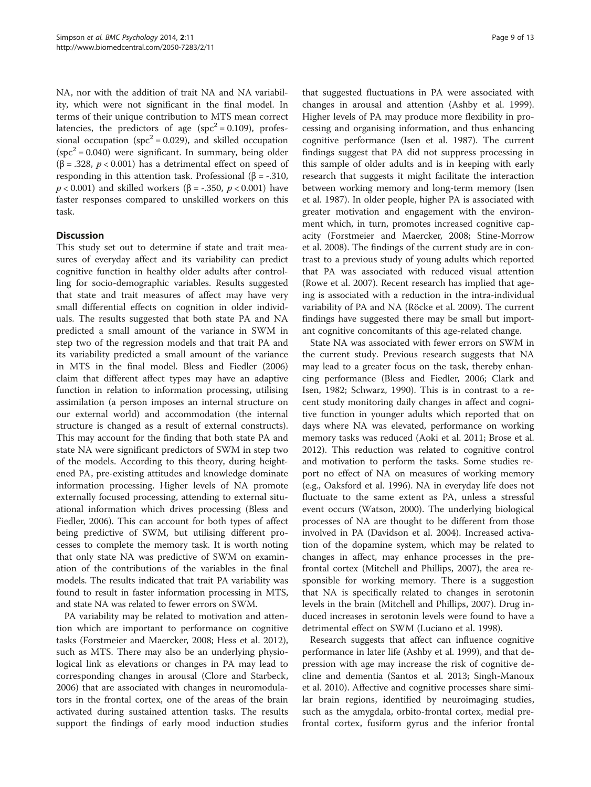NA, nor with the addition of trait NA and NA variability, which were not significant in the final model. In terms of their unique contribution to MTS mean correct latencies, the predictors of age ( $spc^2 = 0.109$ ), professional occupation ( $spc^2 = 0.029$ ), and skilled occupation  $(spc<sup>2</sup> = 0.040)$  were significant. In summary, being older ( $\beta$  = .328,  $p$  < 0.001) has a detrimental effect on speed of responding in this attention task. Professional (β = -.310,  $p < 0.001$ ) and skilled workers ( $\beta = -0.350$ ,  $p < 0.001$ ) have faster responses compared to unskilled workers on this task.

### **Discussion**

This study set out to determine if state and trait measures of everyday affect and its variability can predict cognitive function in healthy older adults after controlling for socio-demographic variables. Results suggested that state and trait measures of affect may have very small differential effects on cognition in older individuals. The results suggested that both state PA and NA predicted a small amount of the variance in SWM in step two of the regression models and that trait PA and its variability predicted a small amount of the variance in MTS in the final model. Bless and Fiedler ([2006](#page-10-0)) claim that different affect types may have an adaptive function in relation to information processing, utilising assimilation (a person imposes an internal structure on our external world) and accommodation (the internal structure is changed as a result of external constructs). This may account for the finding that both state PA and state NA were significant predictors of SWM in step two of the models. According to this theory, during heightened PA, pre-existing attitudes and knowledge dominate information processing. Higher levels of NA promote externally focused processing, attending to external situational information which drives processing (Bless and Fiedler, [2006](#page-10-0)). This can account for both types of affect being predictive of SWM, but utilising different processes to complete the memory task. It is worth noting that only state NA was predictive of SWM on examination of the contributions of the variables in the final models. The results indicated that trait PA variability was found to result in faster information processing in MTS, and state NA was related to fewer errors on SWM.

PA variability may be related to motivation and attention which are important to performance on cognitive tasks (Forstmeier and Maercker, [2008](#page-10-0); Hess et al. [2012](#page-11-0)), such as MTS. There may also be an underlying physiological link as elevations or changes in PA may lead to corresponding changes in arousal (Clore and Starbeck, [2006](#page-10-0)) that are associated with changes in neuromodulators in the frontal cortex, one of the areas of the brain activated during sustained attention tasks. The results support the findings of early mood induction studies

that suggested fluctuations in PA were associated with changes in arousal and attention (Ashby et al. [1999](#page-10-0)). Higher levels of PA may produce more flexibility in processing and organising information, and thus enhancing cognitive performance (Isen et al. [1987](#page-11-0)). The current findings suggest that PA did not suppress processing in this sample of older adults and is in keeping with early research that suggests it might facilitate the interaction between working memory and long-term memory (Isen et al. [1987](#page-11-0)). In older people, higher PA is associated with greater motivation and engagement with the environment which, in turn, promotes increased cognitive capacity (Forstmeier and Maercker, [2008](#page-10-0); Stine-Morrow et al. [2008\)](#page-12-0). The findings of the current study are in contrast to a previous study of young adults which reported that PA was associated with reduced visual attention (Rowe et al. [2007\)](#page-12-0). Recent research has implied that ageing is associated with a reduction in the intra-individual variability of PA and NA (Röcke et al. [2009](#page-11-0)). The current findings have suggested there may be small but important cognitive concomitants of this age-related change.

State NA was associated with fewer errors on SWM in the current study. Previous research suggests that NA may lead to a greater focus on the task, thereby enhancing performance (Bless and Fiedler, [2006](#page-10-0); Clark and Isen, [1982;](#page-10-0) Schwarz, [1990](#page-12-0)). This is in contrast to a recent study monitoring daily changes in affect and cognitive function in younger adults which reported that on days where NA was elevated, performance on working memory tasks was reduced (Aoki et al. [2011;](#page-10-0) Brose et al. [2012](#page-10-0)). This reduction was related to cognitive control and motivation to perform the tasks. Some studies report no effect of NA on measures of working memory (e.g., Oaksford et al. [1996\)](#page-11-0). NA in everyday life does not fluctuate to the same extent as PA, unless a stressful event occurs (Watson, [2000](#page-12-0)). The underlying biological processes of NA are thought to be different from those involved in PA (Davidson et al. [2004](#page-10-0)). Increased activation of the dopamine system, which may be related to changes in affect, may enhance processes in the prefrontal cortex (Mitchell and Phillips, [2007\)](#page-11-0), the area responsible for working memory. There is a suggestion that NA is specifically related to changes in serotonin levels in the brain (Mitchell and Phillips, [2007\)](#page-11-0). Drug induced increases in serotonin levels were found to have a detrimental effect on SWM (Luciano et al. [1998](#page-11-0)).

Research suggests that affect can influence cognitive performance in later life (Ashby et al. [1999](#page-10-0)), and that depression with age may increase the risk of cognitive decline and dementia (Santos et al. [2013](#page-12-0); Singh-Manoux et al. [2010\)](#page-12-0). Affective and cognitive processes share similar brain regions, identified by neuroimaging studies, such as the amygdala, orbito-frontal cortex, medial prefrontal cortex, fusiform gyrus and the inferior frontal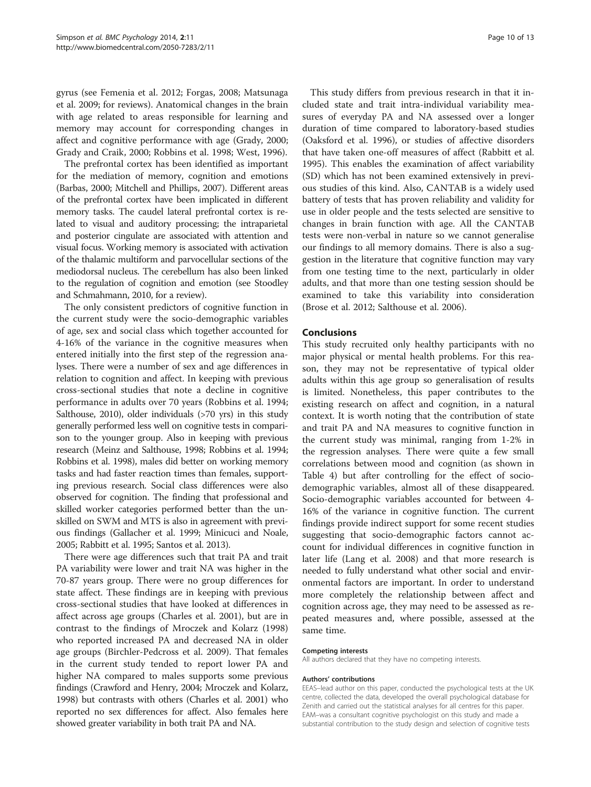gyrus (see Femenia et al. [2012](#page-10-0); Forgas, [2008](#page-10-0); Matsunaga et al. [2009;](#page-11-0) for reviews). Anatomical changes in the brain with age related to areas responsible for learning and memory may account for corresponding changes in affect and cognitive performance with age (Grady, [2000](#page-11-0); Grady and Craik, [2000;](#page-11-0) Robbins et al. [1998](#page-11-0); West, [1996](#page-12-0)).

The prefrontal cortex has been identified as important for the mediation of memory, cognition and emotions (Barbas, [2000;](#page-10-0) Mitchell and Phillips, [2007\)](#page-11-0). Different areas of the prefrontal cortex have been implicated in different memory tasks. The caudel lateral prefrontal cortex is related to visual and auditory processing; the intraparietal and posterior cingulate are associated with attention and visual focus. Working memory is associated with activation of the thalamic multiform and parvocellular sections of the mediodorsal nucleus. The cerebellum has also been linked to the regulation of cognition and emotion (see Stoodley and Schmahmann, [2010](#page-12-0), for a review).

The only consistent predictors of cognitive function in the current study were the socio-demographic variables of age, sex and social class which together accounted for 4-16% of the variance in the cognitive measures when entered initially into the first step of the regression analyses. There were a number of sex and age differences in relation to cognition and affect. In keeping with previous cross-sectional studies that note a decline in cognitive performance in adults over 70 years (Robbins et al. [1994](#page-11-0); Salthouse, [2010](#page-12-0)), older individuals (>70 yrs) in this study generally performed less well on cognitive tests in comparison to the younger group. Also in keeping with previous research (Meinz and Salthouse, [1998](#page-11-0); Robbins et al. [1994](#page-11-0); Robbins et al. [1998](#page-11-0)), males did better on working memory tasks and had faster reaction times than females, supporting previous research. Social class differences were also observed for cognition. The finding that professional and skilled worker categories performed better than the unskilled on SWM and MTS is also in agreement with previous findings (Gallacher et al. [1999](#page-11-0); Minicuci and Noale, [2005;](#page-11-0) Rabbitt et al. [1995;](#page-11-0) Santos et al. [2013](#page-12-0)).

There were age differences such that trait PA and trait PA variability were lower and trait NA was higher in the 70-87 years group. There were no group differences for state affect. These findings are in keeping with previous cross-sectional studies that have looked at differences in affect across age groups (Charles et al. [2001](#page-10-0)), but are in contrast to the findings of Mroczek and Kolarz ([1998](#page-11-0)) who reported increased PA and decreased NA in older age groups (Birchler-Pedcross et al. [2009\)](#page-10-0). That females in the current study tended to report lower PA and higher NA compared to males supports some previous findings (Crawford and Henry, [2004](#page-10-0); Mroczek and Kolarz, [1998\)](#page-11-0) but contrasts with others (Charles et al. [2001\)](#page-10-0) who reported no sex differences for affect. Also females here showed greater variability in both trait PA and NA.

This study differs from previous research in that it included state and trait intra-individual variability measures of everyday PA and NA assessed over a longer duration of time compared to laboratory-based studies (Oaksford et al. [1996](#page-11-0)), or studies of affective disorders that have taken one-off measures of affect (Rabbitt et al. [1995](#page-11-0)). This enables the examination of affect variability (SD) which has not been examined extensively in previous studies of this kind. Also, CANTAB is a widely used battery of tests that has proven reliability and validity for use in older people and the tests selected are sensitive to changes in brain function with age. All the CANTAB tests were non-verbal in nature so we cannot generalise our findings to all memory domains. There is also a suggestion in the literature that cognitive function may vary from one testing time to the next, particularly in older adults, and that more than one testing session should be examined to take this variability into consideration (Brose et al. [2012;](#page-10-0) Salthouse et al. [2006](#page-12-0)).

### Conclusions

This study recruited only healthy participants with no major physical or mental health problems. For this reason, they may not be representative of typical older adults within this age group so generalisation of results is limited. Nonetheless, this paper contributes to the existing research on affect and cognition, in a natural context. It is worth noting that the contribution of state and trait PA and NA measures to cognitive function in the current study was minimal, ranging from 1-2% in the regression analyses. There were quite a few small correlations between mood and cognition (as shown in Table [4](#page-6-0)) but after controlling for the effect of sociodemographic variables, almost all of these disappeared. Socio-demographic variables accounted for between 4- 16% of the variance in cognitive function. The current findings provide indirect support for some recent studies suggesting that socio-demographic factors cannot account for individual differences in cognitive function in later life (Lang et al. [2008\)](#page-11-0) and that more research is needed to fully understand what other social and environmental factors are important. In order to understand more completely the relationship between affect and cognition across age, they may need to be assessed as repeated measures and, where possible, assessed at the same time.

### Competing interests

All authors declared that they have no competing interests.

### Authors' contributions

EEAS–lead author on this paper, conducted the psychological tests at the UK centre, collected the data, developed the overall psychological database for Zenith and carried out the statistical analyses for all centres for this paper. EAM–was a consultant cognitive psychologist on this study and made a substantial contribution to the study design and selection of cognitive tests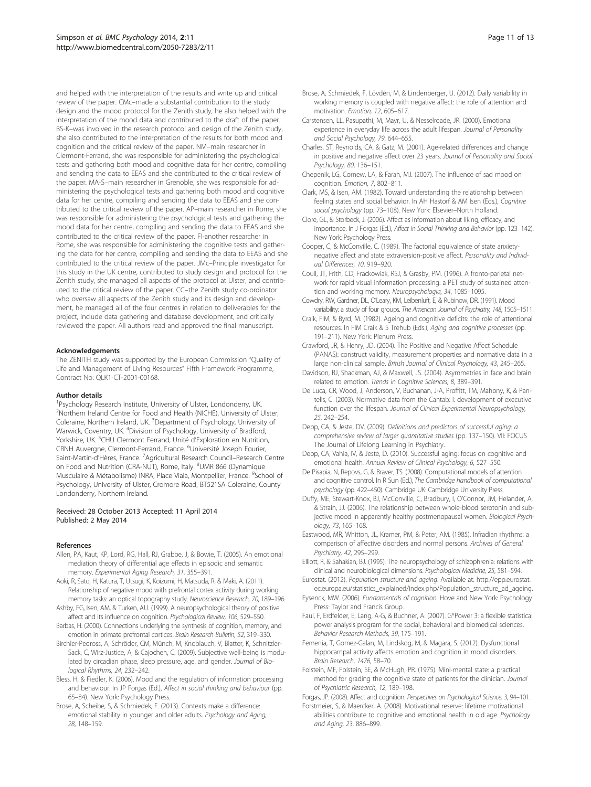<span id="page-10-0"></span>and helped with the interpretation of the results and write up and critical review of the paper. CMc–made a substantial contribution to the study design and the mood protocol for the Zenith study, he also helped with the interpretation of the mood data and contributed to the draft of the paper. BS-K–was involved in the research protocol and design of the Zenith study, she also contributed to the interpretation of the results for both mood and cognition and the critical review of the paper. NM–main researcher in Clermont-Ferrand, she was responsible for administering the psychological tests and gathering both mood and cognitive data for her centre, compiling and sending the data to EEAS and she contributed to the critical review of the paper. MA-S–main researcher in Grenoble, she was responsible for administering the psychological tests and gathering both mood and cognitive data for her centre, compiling and sending the data to EEAS and she contributed to the critical review of the paper. AP–main researcher in Rome, she was responsible for administering the psychological tests and gathering the mood data for her centre, compiling and sending the data to EEAS and she contributed to the critical review of the paper. FI-another researcher in Rome, she was responsible for administering the cognitive tests and gathering the data for her centre, compiling and sending the data to EEAS and she contributed to the critical review of the paper. JMc–Principle investigator for this study in the UK centre, contributed to study design and protocol for the Zenith study, she managed all aspects of the protocol at Ulster, and contributed to the critical review of the paper. CC–the Zenith study co-ordinator who oversaw all aspects of the Zenith study and its design and development, he managed all of the four centres in relation to deliverables for the project, include data gathering and database development, and critically reviewed the paper. All authors read and approved the final manuscript.

### Acknowledgements

The ZENITH study was supported by the European Commission "Quality of Life and Management of Living Resources" Fifth Framework Programme, Contract No: QLK1-CT-2001-00168.

### Author details

<sup>1</sup>Psychology Research Institute, University of Ulster, Londonderry, UK. <sup>2</sup>Northern Ireland Centre for Food and Health (NICHE), University of Ulster, Coleraine, Northern Ireland, UK. <sup>3</sup>Department of Psychology, University of Warwick, Coventry, UK. <sup>4</sup>Division of Psychology, University of Bradford, Yorkshire, UK. <sup>5</sup>CHU Clermont Ferrand, Unité d'Exploration en Nutrition, CRNH Auvergne, Clermont-Ferrand, France. <sup>6</sup>Université Joseph Fourier, Saint-Martin-d'Hères, France. <sup>7</sup>Agricultural Research Council–Research Centre on Food and Nutrition (CRA-NUT), Rome, Italy. <sup>8</sup>UMR 866 (Dynamique Musculaire & Métabolisme) INRA, Place Viala, Montpellier, France. <sup>9</sup>School of Psychology, University of Ulster, Cromore Road, BT521SA Coleraine, County Londonderry, Northern Ireland.

### Received: 28 October 2013 Accepted: 11 April 2014 Published: 2 May 2014

### References

- Allen, PA, Kaut, KP, Lord, RG, Hall, RJ, Grabbe, J, & Bowie, T. (2005). An emotional mediation theory of differential age effects in episodic and semantic memory. Experimental Aging Research, 31, 355–391.
- Aoki, R, Sato, H, Katura, T, Utsugi, K, Koizumi, H, Matsuda, R, & Maki, A. (2011). Relationship of negative mood with prefrontal cortex activity during working memory tasks: an optical topography study. Neuroscience Research, 70, 189–196.
- Ashby, FG, Isen, AM, & Turken, AU. (1999). A neuropsychological theory of positive affect and its influence on cognition. Psychological Review, 106, 529–550.
- Barbas, H. (2000). Connections underlying the synthesis of cognition, memory, and emotion in primate prefrontal cortices. Brain Research Bulletin, 52, 319–330.
- Birchler-Pedross, A, Schröder, CM, Münch, M, Knoblauch, V, Blatter, K, Schnitzler-Sack, C, Wirz-Justice, A, & Cajochen, C. (2009). Subjective well-being is modulated by circadian phase, sleep pressure, age, and gender. Journal of Biological Rhythms, 24, 232–242.
- Bless, H, & Fiedler, K. (2006). Mood and the regulation of information processing and behaviour. In JP Forgas (Ed.), Affect in social thinking and behaviour (pp. 65–84). New York: Psychology Press.
- Brose, A, Scheibe, S, & Schmiedek, F. (2013). Contexts make a difference: emotional stability in younger and older adults. Psychology and Aging, 28, 148–159.
- Brose, A, Schmiedek, F, Lövdén, M, & Lindenberger, U. (2012). Daily variability in working memory is coupled with negative affect: the role of attention and motivation. Emotion, 12, 605–617.
- Carstensen, LL, Pasupathi, M, Mayr, U, & Nesselroade, JR. (2000). Emotional experience in everyday life across the adult lifespan. Journal of Personality and Social Psychology, 79, 644–655.
- Charles, ST, Reynolds, CA, & Gatz, M. (2001). Age-related differences and change in positive and negative affect over 23 years. Journal of Personality and Social Psychology, 80, 136–151.
- Chepenik, LG, Cornew, LA, & Farah, MJ. (2007). The influence of sad mood on cognition. Emotion, 7, 802-811.
- Clark, MS, & Isen, AM. (1982). Toward understanding the relationship between feeling states and social behavior. In AH Hastorf & AM Isen (Eds.), Cognitive social psychology (pp. 73–108). New York: Elsevier–North Holland.
- Clore, GL, & Storbeck, J. (2006). Affect as information about liking, efficacy, and importance. In J Forgas (Ed.), Affect in Social Thinking and Behavior (pp. 123–142). New York: Psychology Press.
- Cooper, C, & McConville, C. (1989). The factorial equivalence of state anxietynegative affect and state extraversion-positive affect. Personality and Individual Differences, 10, 919–920.
- Coull, JT, Frith, CD, Frackowiak, RSJ, & Grasby, PM. (1996). A fronto-parietal network for rapid visual information processing: a PET study of sustained attention and working memory. Neuropsychologia, 34, 1085–1095.
- Cowdry, RW, Gardner, DL, O'Leary, KM, Leibenluft, E, & Rubinow, DR. (1991). Mood variability: a study of four groups. The American Journal of Psychiatry, 148, 1505-1511.
- Craik, FIM, & Byrd, M. (1982). Ageing and cognitive deficits: the role of attentional resources. In FIM Craik & S Trehub (Eds.), Aging and cognitive processes (pp. 191–211). New York: Plenum Press.
- Crawford, JR, & Henry, JD. (2004). The Positive and Negative Affect Schedule (PANAS): construct validity, measurement properties and normative data in a large non-clinical sample. British Journal of Clinical Psychology, 43, 245-265.
- Davidson, RJ, Shackman, AJ, & Maxwell, JS. (2004). Asymmetries in face and brain related to emotion. Trends in Cognitive Sciences, 8, 389–391.
- De Luca, CR, Wood, J, Anderson, V, Buchanan, J-A, Proffitt, TM, Mahony, K, & Pantelis, C. (2003). Normative data from the Cantab: I: development of executive function over the lifespan. Journal of Clinical Experimental Neuropsychology, 25, 242–254.
- Depp, CA, & Jeste, DV. (2009). Definitions and predictors of successful aging: a comprehensive review of larger quantitative studies (pp. 137–150). VII: FOCUS The Journal of Lifelong Learning in Psychiatry.
- Depp, CA, Vahia, IV, & Jeste, D. (2010). Successful aging: focus on cognitive and emotional health. Annual Review of Clinical Psychology, 6, 527–550.
- De Pisapia, N, Repovs, G, & Braver, TS. (2008). Computational models of attention and cognitive control. In R Sun (Ed.), The Cambridge handbook of computational psychology (pp. 422–450). Cambridge UK: Cambridge University Press.
- Duffy, ME, Stewart-Knox, BJ, McConville, C, Bradbury, I, O'Connor, JM, Helander, A, & Strain, JJ. (2006). The relationship between whole-blood serotonin and subjective mood in apparently healthy postmenopausal women. Biological Psychology, 73, 165–168.
- Eastwood, MR, Whitton, JL, Kramer, PM, & Peter, AM. (1985). Infradian rhythms: a comparison of affective disorders and normal persons. Archives of General Psychiatry, 42, 295–299.
- Elliott, R, & Sahakian, BJ. (1995). The neuropsychology of schizophrenia: relations with clinical and neurobiological dimensions. Psychological Medicine, 25, 581–594.
- Eurostat. (2012). Population structure and ageing. Available at: [http://epp.eurostat.](http://epp.eurostat.ec.europa.eu/statistics_explained/index.php/Population_structure_ad_ageing) [ec.europa.eu/statistics\\_explained/index.php/Population\\_structure\\_ad\\_ageing](http://epp.eurostat.ec.europa.eu/statistics_explained/index.php/Population_structure_ad_ageing).
- Eysenck, MW. (2006). Fundamentals of cognition. Hove and New York: Psychology Press: Taylor and Francis Group.
- Faul, F, Erdfelder, E, Lang, A-G, & Buchner, A. (2007). G\*Power 3: a flexible statistical power analysis program for the social, behavioral and biomedical sciences. Behavior Research Methods, 39, 175–191.
- Femenia, T, Gomez-Galan, M, Lindskog, M, & Magara, S. (2012). Dysfunctional hippocampal activity affects emotion and cognition in mood disorders. Brain Research, 1476, 58–70.
- Folstein, MF, Folstein, SE, & McHugh, PR. (1975). Mini-mental state: a practical method for grading the cognitive state of patients for the clinician. Journal of Psychiatric Research, 12, 189–198.

Forgas, JP. (2008). Affect and cognition. Perspectives on Psychological Science, 3, 94–101.

Forstmeier, S, & Maercker, A. (2008). Motivational reserve: lifetime motivational abilities contribute to cognitive and emotional health in old age. Psychology and Aging, 23, 886–899.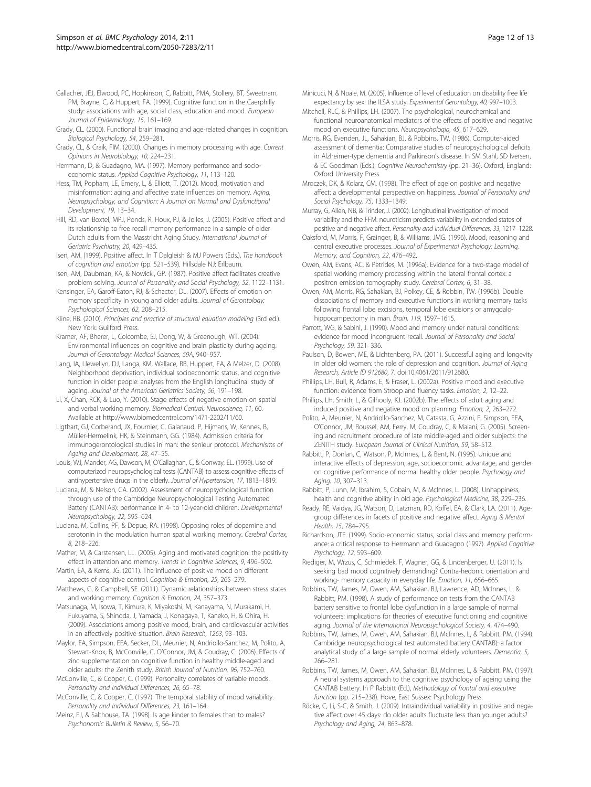- <span id="page-11-0"></span>Gallacher, JEJ, Elwood, PC, Hopkinson, C, Rabbitt, PMA, Stollery, BT, Sweetnam, PM, Brayne, C, & Huppert, FA. (1999). Cognitive function in the Caerphilly study: associations with age, social class, education and mood. European Journal of Epidemiology, 15, 161–169.
- Grady, CL. (2000). Functional brain imaging and age-related changes in cognition. Biological Psychology, 54, 259–281.
- Grady, CL, & Craik, FIM. (2000). Changes in memory processing with age. Current Opinions in Neurobiology, 10, 224–231.
- Herrmann, D, & Guadagno, MA. (1997). Memory performance and socioeconomic status. Applied Cognitive Psychology, 11, 113–120.
- Hess, TM, Popham, LE, Emery, L, & Elliott, T. (2012). Mood, motivation and misinformation: aging and affective state influences on memory. Aging, Neuropsychology, and Cognition: A Journal on Normal and Dysfunctional Development, 19, 13–34.
- Hill, RD, van Boxtel, MPJ, Ponds, R, Houx, PJ, & Jolles, J. (2005). Positive affect and its relationship to free recall memory performance in a sample of older Dutch adults from the Masstricht Aging Study. International Journal of Geriatric Psychiatry, 20, 429–435.
- Isen, AM. (1999). Positive affect. In T Dalgleish & MJ Powers (Eds.), The handbook of cognition and emotion (pp. 521–539). Hillsdale NJ: Erlbaum.
- Isen, AM, Daubman, KA, & Nowicki, GP. (1987). Positive affect facilitates creative problem solving. Journal of Personality and Social Psychology, 52, 1122–1131.
- Kensinger, EA, Garoff-Eaton, RJ, & Schacter, DL. (2007). Effects of emotion on memory specificity in young and older adults. Journal of Gerontology: Psychological Sciences, 62, 208–215.
- Kline, RB. (2010). Principles and practice of structural equation modeling (3rd ed.). New York: Guilford Press.
- Kramer, AF, Bherer, L, Colcombe, SJ, Dong, W, & Greenough, WT. (2004). Environmental influences on cognitive and brain plasticity during ageing. Journal of Gerontology: Medical Sciences, 59A, 940–957.
- Lang, IA, Llewellyn, DJ, Langa, KM, Wallace, RB, Huppert, FA, & Melzer, D. (2008). Neighborhood deprivation, individual socioeconomic status, and cognitive function in older people: analyses from the English longitudinal study of ageing. Journal of the American Geriatrics Society, 56, 191–198.
- Li, X, Chan, RCK, & Luo, Y. (2010). Stage effects of negative emotion on spatial and verbal working memory. Biomedical Central: Neuroscience, 11, 60. Available at [http://www.biomedcentral.com/1471-2202/11/60.](http://www.biomedcentral.com/1471-2202/11/60)
- Ligthart, GJ, Corberand, JX, Fournier, C, Galanaud, P, Hijmans, W, Kennes, B, Müller-Hermelink, HK, & Steinmann, GG. (1984). Admission criteria for immunogerontological studies in man: the senieur protocol. Mechanisms of Ageing and Development, 28, 47–55.
- Louis, WJ, Mander, AG, Dawson, M, O'Callaghan, C, & Conway, EL. (1999). Use of computerized neuropsychological tests (CANTAB) to assess cognitive effects of antihypertensive drugs in the elderly. Journal of Hypertension, 17, 1813–1819.
- Luciana, M, & Nelson, CA. (2002). Assessment of neuropsychological function through use of the Cambridge Neuropsychological Testing Automated Battery (CANTAB): performance in 4- to 12-year-old children. Developmental Neuropsychology, 22, 595–624.
- Luciana, M, Collins, PF, & Depue, RA. (1998). Opposing roles of dopamine and serotonin in the modulation human spatial working memory. Cerebral Cortex, 8, 218–226.
- Mather, M, & Carstensen, LL. (2005). Aging and motivated cognition: the positivity effect in attention and memory. Trends in Cognitive Sciences, 9, 496–502.
- Martin, EA, & Kerns, JG. (2011). The influence of positive mood on different aspects of cognitive control. Cognition & Emotion, 25, 265–279.
- Matthews, G, & Campbell, SE. (2011). Dynamic relationships between stress states and working memory. Cognition & Emotion, 24, 357–373.
- Matsunaga, M, Isowa, T, Kimura, K, Miyakoshi, M, Kanayama, N, Murakami, H, Fukuyama, S, Shinoda, J, Yamada, J, Konagaya, T, Kaneko, H, & Ohira, H. (2009). Associations among positive mood, brain, and cardiovascular activities in an affectively positive situation. Brain Research, 1263, 93–103.
- Maylor, EA, Simpson, EEA, Secker, DL, Meunier, N, Andriollo-Sanchez, M, Polito, A, Stewart-Knox, B, McConville, C, O'Connor, JM, & Coudray, C. (2006). Effects of zinc supplementation on cognitive function in healthy middle-aged and older adults: the Zenith study. British Journal of Nutrition, 96, 752–760.
- McConville, C, & Cooper, C. (1999). Personality correlates of variable moods. Personality and Individual Differences, 26, 65–78.
- McConville, C, & Cooper, C. (1997). The temporal stability of mood variability. Personality and Individual Differences, 23, 161–164.
- Meinz, EJ, & Salthouse, TA. (1998). Is age kinder to females than to males? Psychonomic Bulletin & Review, 5, 56–70.
- Minicuci, N, & Noale, M. (2005). Influence of level of education on disability free life expectancy by sex: the ILSA study. Experimental Gerontology, 40, 997–1003.
- Mitchell, RLC, & Phillips, LH. (2007). The psychological, neurochemical and functional neuroanatomical mediators of the effects of positive and negative mood on executive functions. Neuropsychologia, 45, 617–629.
- Morris, RG, Evenden, JL, Sahakian, BJ, & Robbins, TW. (1986). Computer-aided assessment of dementia: Comparative studies of neuropsychological deficits in Alzheimer-type dementia and Parkinson's disease. In SM Stahl, SD Iversen, & EC Goodman (Eds.), Cognitive Neurochemistry (pp. 21–36). Oxford, England: Oxford University Press.
- Mroczek, DK, & Kolarz, CM. (1998). The effect of age on positive and negative affect: a developmental perspective on happiness. Journal of Personality and Social Psychology, 75, 1333–1349.
- Murray, G, Allen, NB, & Trinder, J. (2002). Longitudinal investigation of mood variability and the FFM: neuroticism predicts variability in extended states of positive and negative affect. Personality and Individual Differences, 33, 1217–1228.
- Oaksford, M, Morris, F, Grainger, B, & Williams, JMG. (1996). Mood, reasoning and central executive processes. Journal of Experimental Psychology: Learning, Memory, and Cognition, 22, 476–492.
- Owen, AM, Evans, AC, & Petrides, M. (1996a). Evidence for a two-stage model of spatial working memory processing within the lateral frontal cortex: a positron emission tomography study. Cerebral Cortex, 6, 31–38.
- Owen, AM, Morris, RG, Sahakian, BJ, Polkey, CE, & Robbin, TW. (1996b). Double dissociations of memory and executive functions in working memory tasks following frontal lobe excisions, temporal lobe excisions or amygdalohippocampectomy in man. Brain, 119, 1597-1615.
- Parrott, WG, & Sabini, J. (1990). Mood and memory under natural conditions: evidence for mood incongruent recall. Journal of Personality and Social Psychology, 59, 321–336.
- Paulson, D, Bowen, ME, & Lichtenberg, PA. (2011). Successful aging and longevity in older old women: the role of depression and cognition. Journal of Aging Research, Article ID 912680, 7. doi:10.4061/2011/912680.
- Phillips, LH, Bull, R, Adams, E, & Fraser, L. (2002a). Positive mood and executive function: evidence from Stroop and fluency tasks. Emotion, 2, 12–22.
- Phillips, LH, Smith, L, & Gilhooly, KJ. (2002b). The effects of adult aging and induced positive and negative mood on planning. Emotion, 2, 263–272.
- Polito, A, Meunier, N, Andriollo-Sanchez, M, Catasta, G, Azzini, E, Simpson, EEA, O'Connor, JM, Roussel, AM, Ferry, M, Coudray, C, & Maiani, G. (2005). Screening and recruitment procedure of late middle-aged and older subjects: the ZENITH study. European Journal of Clinical Nutrition, 59, S8–S12.
- Rabbitt, P, Donlan, C, Watson, P, McInnes, L, & Bent, N. (1995). Unique and interactive effects of depression, age, socioeconomic advantage, and gender on cognitive performance of normal healthy older people. Psychology and Aging, 10, 307–313.
- Rabbitt, P, Lunn, M, Ibrahim, S, Cobain, M, & McInnes, L. (2008). Unhappiness, health and cognitive ability in old age. Psychological Medicine, 38, 229–236.
- Ready, RE, Vaidya, JG, Watson, D, Latzman, RD, Koffel, EA, & Clark, LA. (2011). Agegroup differences in facets of positive and negative affect. Aging & Mental Health, 15, 784–795.
- Richardson, JTE. (1999). Socio-economic status, social class and memory performance: a critical response to Herrmann and Guadagno (1997). Applied Cognitive Psychology, 12, 593–609.
- Riediger, M, Wrzus, C, Schmiedek, F, Wagner, GG, & Lindenberger, U. (2011). Is seeking bad mood cognitively demanding? Contra-hedonic orientation and working- memory capacity in everyday life. Emotion, 11, 656–665.
- Robbins, TW, James, M, Owen, AM, Sahakian, BJ, Lawrence, AD, McInnes, L, & Rabbitt, PM. (1998). A study of performance on tests from the CANTAB battery sensitive to frontal lobe dysfunction in a large sample of normal volunteers: implications for theories of executive functioning and cognitive aging. Journal of the International Neuropsychological Society, 4, 474–490.
- Robbins, TW, James, M, Owen, AM, Sahakian, BJ, McInnes, L, & Rabbitt, PM. (1994). Cambridge neuropsychological test automated battery CANTAB): a factor analytical study of a large sample of normal elderly volunteers. Dementia, 5, 266–281.
- Robbins, TW, James, M, Owen, AM, Sahakian, BJ, McInnes, L, & Rabbitt, PM. (1997). A neural systems approach to the cognitive psychology of ageing using the CANTAB battery. In P Rabbitt (Ed.), Methodology of frontal and executive function (pp. 215–238). Hove, East Sussex: Psychology Press.
- Röcke, C, Li, S-C, & Smith, J. (2009). Intraindividual variability in positive and negative affect over 45 days: do older adults fluctuate less than younger adults? Psychology and Aging, 24, 863–878.